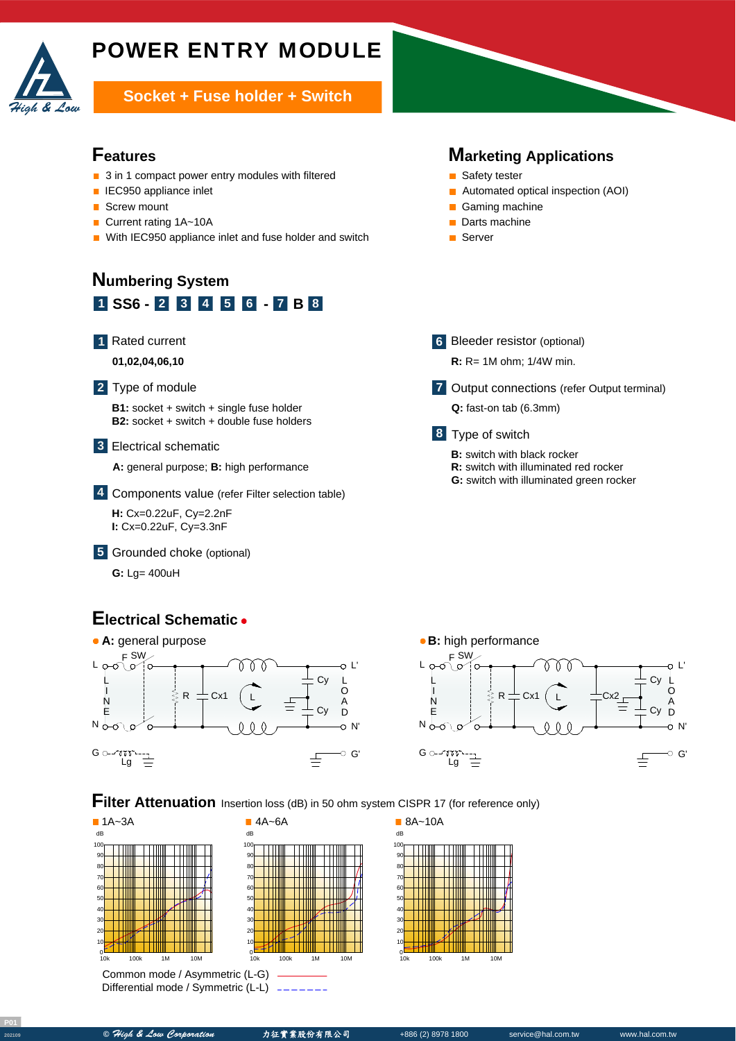

# POWER ENTRY MODULE

**Socket + Fuse holder + Switch** 

## **Features**

- 3 in 1 compact power entry modules with filtered
- **IEC950 appliance inlet**
- $\overline{\phantom{a}}$ Screw mount
- Current rating 1A~10A  $\blacksquare$
- With IEC950 appliance inlet and fuse holder and switch

## **1 SS6** - **2 3 4 5 6** - **7 B 8 Numbering System**



A **01,02,04,06,10**

#### Type of module **2**

**B1:** socket + switch + single fuse holder **B2:** socket + switch + double fuse holders

### Electrical schematic **3**

A **A:** general purpose; **B:** high performance

Components value (refer Filter selection table) **4**

A **H:** Cx=0.22uF, Cy=2.2nF **I:** Cx=0.22uF, Cy=3.3nF

Grounded choke (optional) **5**

**G:** Lg= 400uH

## **Electrical Schematic**





**Marketing Applications**

■ Automated optical inspection (AOI)

Output connections (refer Output terminal) **7**

■ Safety tester

Gaming machine Darts machine ■ Server

**6** Bleeder resistor (optional) **R:** R= 1M ohm; 1/4W min.

**Q:** fast-on tab (6.3mm)

**B:** switch with black rocker

**R:** switch with illuminated red rocker **G:** switch with illuminated green rocker

Type of switch **8**

**Filter Attenuation** Insertion loss (dB) in 50 ohm system CISPR 17 (for reference only)



Common mode / Asymmetric (L-G) Differential mode / Symmetric (L-L)





10k 100k 1M 10M